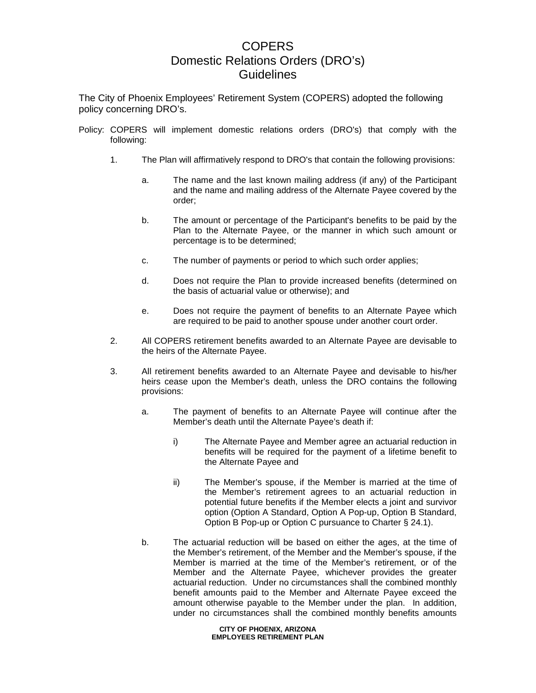## COPERS Domestic Relations Orders (DRO's) Guidelines

The City of Phoenix Employees' Retirement System (COPERS) adopted the following policy concerning DRO's.

- Policy: COPERS will implement domestic relations orders (DRO's) that comply with the following:
	- 1. The Plan will affirmatively respond to DRO's that contain the following provisions:
		- a. The name and the last known mailing address (if any) of the Participant and the name and mailing address of the Alternate Payee covered by the order;
		- b. The amount or percentage of the Participant's benefits to be paid by the Plan to the Alternate Payee, or the manner in which such amount or percentage is to be determined;
		- c. The number of payments or period to which such order applies;
		- d. Does not require the Plan to provide increased benefits (determined on the basis of actuarial value or otherwise); and
		- e. Does not require the payment of benefits to an Alternate Payee which are required to be paid to another spouse under another court order.
	- 2. All COPERS retirement benefits awarded to an Alternate Payee are devisable to the heirs of the Alternate Payee.
	- 3. All retirement benefits awarded to an Alternate Payee and devisable to his/her heirs cease upon the Member's death, unless the DRO contains the following provisions:
		- a. The payment of benefits to an Alternate Payee will continue after the Member's death until the Alternate Payee's death if:
			- i) The Alternate Payee and Member agree an actuarial reduction in benefits will be required for the payment of a lifetime benefit to the Alternate Payee and
			- ii) The Member's spouse, if the Member is married at the time of the Member's retirement agrees to an actuarial reduction in potential future benefits if the Member elects a joint and survivor option (Option A Standard, Option A Pop-up, Option B Standard, Option B Pop-up or Option C pursuance to Charter § 24.1).
		- b. The actuarial reduction will be based on either the ages, at the time of the Member's retirement, of the Member and the Member's spouse, if the Member is married at the time of the Member's retirement, or of the Member and the Alternate Payee, whichever provides the greater actuarial reduction. Under no circumstances shall the combined monthly benefit amounts paid to the Member and Alternate Payee exceed the amount otherwise payable to the Member under the plan. In addition, under no circumstances shall the combined monthly benefits amounts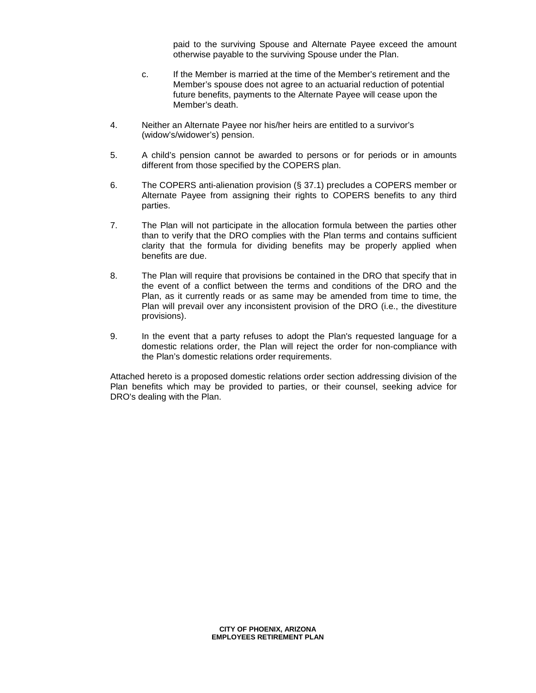paid to the surviving Spouse and Alternate Payee exceed the amount otherwise payable to the surviving Spouse under the Plan.

- c. If the Member is married at the time of the Member's retirement and the Member's spouse does not agree to an actuarial reduction of potential future benefits, payments to the Alternate Payee will cease upon the Member's death.
- 4. Neither an Alternate Payee nor his/her heirs are entitled to a survivor's (widow's/widower's) pension.
- 5. A child's pension cannot be awarded to persons or for periods or in amounts different from those specified by the COPERS plan.
- 6. The COPERS anti-alienation provision (§ 37.1) precludes a COPERS member or Alternate Payee from assigning their rights to COPERS benefits to any third parties.
- 7. The Plan will not participate in the allocation formula between the parties other than to verify that the DRO complies with the Plan terms and contains sufficient clarity that the formula for dividing benefits may be properly applied when benefits are due.
- 8. The Plan will require that provisions be contained in the DRO that specify that in the event of a conflict between the terms and conditions of the DRO and the Plan, as it currently reads or as same may be amended from time to time, the Plan will prevail over any inconsistent provision of the DRO (i.e., the divestiture provisions).
- 9. In the event that a party refuses to adopt the Plan's requested language for a domestic relations order, the Plan will reject the order for non-compliance with the Plan's domestic relations order requirements.

Attached hereto is a proposed domestic relations order section addressing division of the Plan benefits which may be provided to parties, or their counsel, seeking advice for DRO's dealing with the Plan.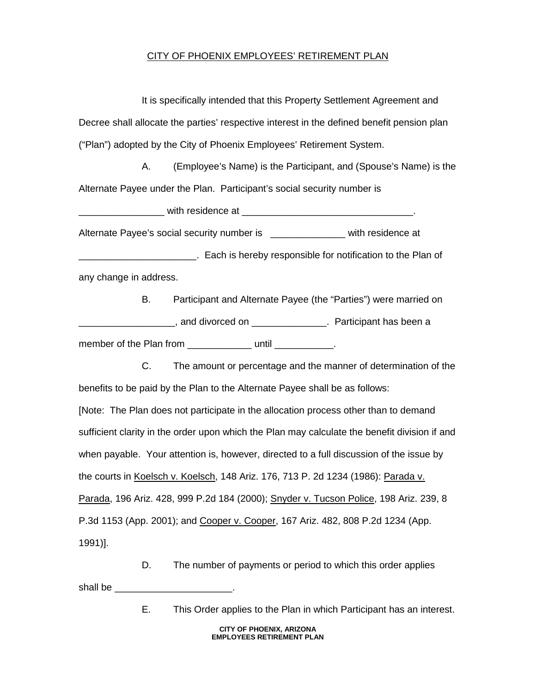## CITY OF PHOENIX EMPLOYEES' RETIREMENT PLAN

It is specifically intended that this Property Settlement Agreement and Decree shall allocate the parties' respective interest in the defined benefit pension plan ("Plan") adopted by the City of Phoenix Employees' Retirement System.

A. (Employee's Name) is the Participant, and (Spouse's Name) is the Alternate Payee under the Plan. Participant's social security number is

\_\_\_\_\_\_\_\_\_\_\_\_\_\_\_\_ with residence at \_\_\_\_\_\_\_\_\_\_\_\_\_\_\_\_\_\_\_\_\_\_\_\_\_\_\_\_\_\_\_\_.

Alternate Payee's social security number is \_\_\_\_\_\_\_\_\_\_\_\_\_\_\_\_ with residence at

**EXALGE 2015** Each is hereby responsible for notification to the Plan of any change in address.

B. Participant and Alternate Payee (the "Parties") were married on \_\_\_\_\_\_\_\_\_\_\_\_\_\_\_\_\_\_, and divorced on \_\_\_\_\_\_\_\_\_\_\_\_\_\_. Participant has been a member of the Plan from \_\_\_\_\_\_\_\_\_\_\_\_\_\_\_\_\_\_\_\_\_\_\_\_\_\_\_\_\_\_\_.

C. The amount or percentage and the manner of determination of the benefits to be paid by the Plan to the Alternate Payee shall be as follows: [Note: The Plan does not participate in the allocation process other than to demand sufficient clarity in the order upon which the Plan may calculate the benefit division if and when payable. Your attention is, however, directed to a full discussion of the issue by the courts in Koelsch v. Koelsch, 148 Ariz. 176, 713 P. 2d 1234 (1986): Parada v. Parada, 196 Ariz. 428, 999 P.2d 184 (2000); Snyder v. Tucson Police, 198 Ariz. 239, 8 P.3d 1153 (App. 2001); and Cooper v. Cooper, 167 Ariz. 482, 808 P.2d 1234 (App. 1991)].

D. The number of payments or period to which this order applies shall be \_\_\_\_\_\_\_\_\_\_\_\_\_\_\_\_\_\_\_\_\_\_.

E. This Order applies to the Plan in which Participant has an interest.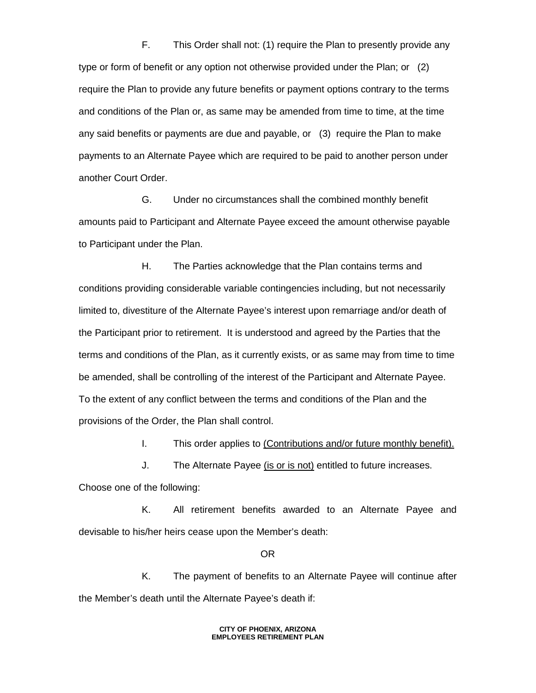F. This Order shall not: (1) require the Plan to presently provide any type or form of benefit or any option not otherwise provided under the Plan; or (2) require the Plan to provide any future benefits or payment options contrary to the terms and conditions of the Plan or, as same may be amended from time to time, at the time any said benefits or payments are due and payable, or (3) require the Plan to make payments to an Alternate Payee which are required to be paid to another person under another Court Order.

G. Under no circumstances shall the combined monthly benefit amounts paid to Participant and Alternate Payee exceed the amount otherwise payable to Participant under the Plan.

H. The Parties acknowledge that the Plan contains terms and conditions providing considerable variable contingencies including, but not necessarily limited to, divestiture of the Alternate Payee's interest upon remarriage and/or death of the Participant prior to retirement. It is understood and agreed by the Parties that the terms and conditions of the Plan, as it currently exists, or as same may from time to time be amended, shall be controlling of the interest of the Participant and Alternate Payee. To the extent of any conflict between the terms and conditions of the Plan and the provisions of the Order, the Plan shall control.

I. This order applies to (Contributions and/or future monthly benefit).

J. The Alternate Payee (is or is not) entitled to future increases. Choose one of the following:

K. All retirement benefits awarded to an Alternate Payee and devisable to his/her heirs cease upon the Member's death:

OR

K. The payment of benefits to an Alternate Payee will continue after the Member's death until the Alternate Payee's death if: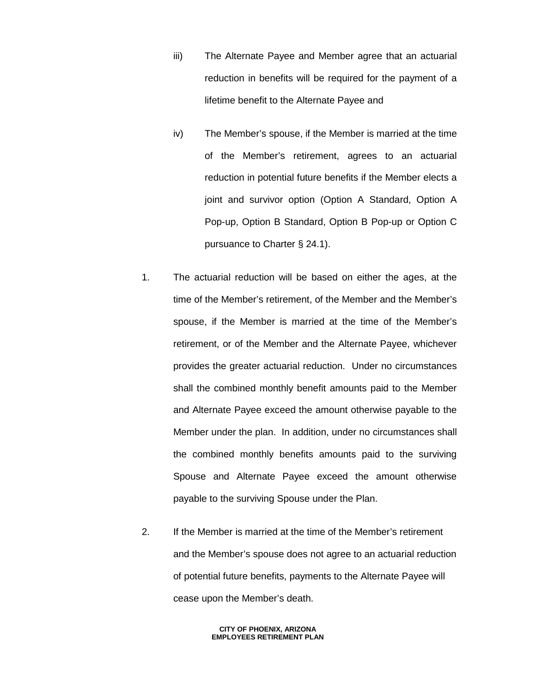- iii) The Alternate Payee and Member agree that an actuarial reduction in benefits will be required for the payment of a lifetime benefit to the Alternate Payee and
- iv) The Member's spouse, if the Member is married at the time of the Member's retirement, agrees to an actuarial reduction in potential future benefits if the Member elects a joint and survivor option (Option A Standard, Option A Pop-up, Option B Standard, Option B Pop-up or Option C pursuance to Charter § 24.1).
- 1. The actuarial reduction will be based on either the ages, at the time of the Member's retirement, of the Member and the Member's spouse, if the Member is married at the time of the Member's retirement, or of the Member and the Alternate Payee, whichever provides the greater actuarial reduction. Under no circumstances shall the combined monthly benefit amounts paid to the Member and Alternate Payee exceed the amount otherwise payable to the Member under the plan. In addition, under no circumstances shall the combined monthly benefits amounts paid to the surviving Spouse and Alternate Payee exceed the amount otherwise payable to the surviving Spouse under the Plan.
- 2. If the Member is married at the time of the Member's retirement and the Member's spouse does not agree to an actuarial reduction of potential future benefits, payments to the Alternate Payee will cease upon the Member's death.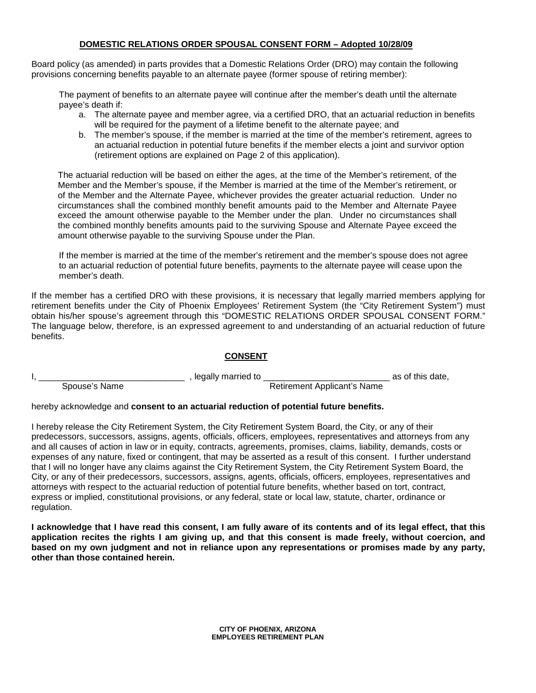## **DOMESTIC RELATIONS ORDER SPOUSAL CONSENT FORM – Adopted 10/28/09**

Board policy (as amended) in parts provides that a Domestic Relations Order (DRO) may contain the following provisions concerning benefits payable to an alternate payee (former spouse of retiring member):

The payment of benefits to an alternate payee will continue after the member's death until the alternate payee's death if:

- a. The alternate payee and member agree, via a certified DRO, that an actuarial reduction in benefits will be required for the payment of a lifetime benefit to the alternate payee; and
- b. The member's spouse, if the member is married at the time of the member's retirement, agrees to an actuarial reduction in potential future benefits if the member elects a joint and survivor option (retirement options are explained on Page 2 of this application).

The actuarial reduction will be based on either the ages, at the time of the Member's retirement, of the Member and the Member's spouse, if the Member is married at the time of the Member's retirement, or of the Member and the Alternate Payee, whichever provides the greater actuarial reduction. Under no circumstances shall the combined monthly benefit amounts paid to the Member and Alternate Payee exceed the amount otherwise payable to the Member under the plan. Under no circumstances shall the combined monthly benefits amounts paid to the surviving Spouse and Alternate Payee exceed the amount otherwise payable to the surviving Spouse under the Plan.

If the member is married at the time of the member's retirement and the member's spouse does not agree to an actuarial reduction of potential future benefits, payments to the alternate payee will cease upon the member's death.

If the member has a certified DRO with these provisions, it is necessary that legally married members applying for retirement benefits under the City of Phoenix Employees' Retirement System (the "City Retirement System") must obtain his/her spouse's agreement through this "DOMESTIC RELATIONS ORDER SPOUSAL CONSENT FORM." The language below, therefore, is an expressed agreement to and understanding of an actuarial reduction of future benefits.

## **CONSENT**

|               | legally married to |                             | as of this date, |
|---------------|--------------------|-----------------------------|------------------|
| Spouse's Name |                    | Retirement Applicant's Name |                  |

hereby acknowledge and **consent to an actuarial reduction of potential future benefits.** 

I hereby release the City Retirement System, the City Retirement System Board, the City, or any of their predecessors, successors, assigns, agents, officials, officers, employees, representatives and attorneys from any and all causes of action in law or in equity, contracts, agreements, promises, claims, liability, demands, costs or expenses of any nature, fixed or contingent, that may be asserted as a result of this consent. I further understand that I will no longer have any claims against the City Retirement System, the City Retirement System Board, the City, or any of their predecessors, successors, assigns, agents, officials, officers, employees, representatives and attorneys with respect to the actuarial reduction of potential future benefits, whether based on tort, contract, express or implied, constitutional provisions, or any federal, state or local law, statute, charter, ordinance or regulation.

**I acknowledge that I have read this consent, I am fully aware of its contents and of its legal effect, that this application recites the rights I am giving up, and that this consent is made freely, without coercion, and based on my own judgment and not in reliance upon any representations or promises made by any party, other than those contained herein.**